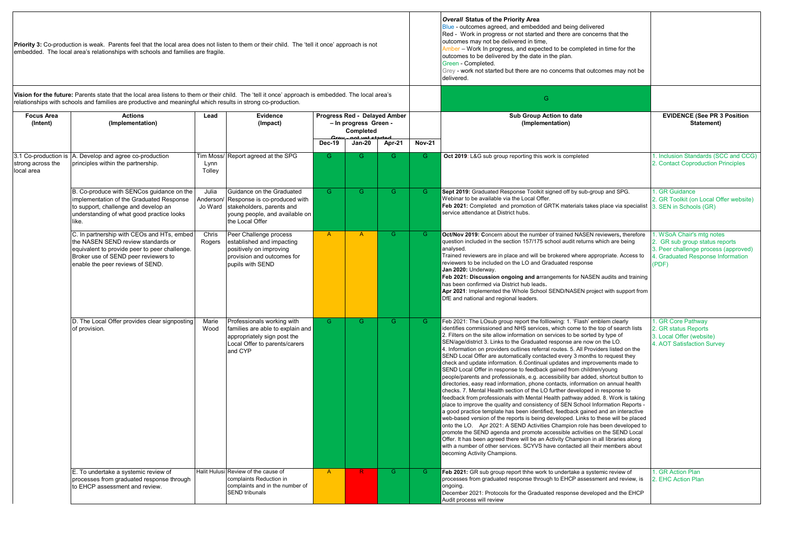|                                                                                                                                                                                                                                                                    | Priority 3: Co-production is weak. Parents feel that the local area does not listen to them or their child. The 'tell it once' approach is not<br>embedded. The local area's relationships with schools and families are fragile. |                    |                                                                                                                                                     |                                                                                                                            |                |               |                                              | Overall Status of the Priority Area<br>Blue - outcomes agreed, and embedded and being delivered<br>Red - Work in progress or not started and there are concerns that the<br>outcomes may not be delivered in time,<br>Amber - Work In progress, and expected to be completed in time for the<br>outcomes to be delivered by the date in the plan.<br>Green - Completed.<br>Grey - work not started but there are no concerns that outcomes may not be<br>delivered.                                                                                                                                                                                                                                                                                                                                                                                                                                                                                                                                                                                                                                                                                                                                                                                                                                                                                                                                                                                                                                                                                                                                                                  |                                                                                                                                                   |
|--------------------------------------------------------------------------------------------------------------------------------------------------------------------------------------------------------------------------------------------------------------------|-----------------------------------------------------------------------------------------------------------------------------------------------------------------------------------------------------------------------------------|--------------------|-----------------------------------------------------------------------------------------------------------------------------------------------------|----------------------------------------------------------------------------------------------------------------------------|----------------|---------------|----------------------------------------------|--------------------------------------------------------------------------------------------------------------------------------------------------------------------------------------------------------------------------------------------------------------------------------------------------------------------------------------------------------------------------------------------------------------------------------------------------------------------------------------------------------------------------------------------------------------------------------------------------------------------------------------------------------------------------------------------------------------------------------------------------------------------------------------------------------------------------------------------------------------------------------------------------------------------------------------------------------------------------------------------------------------------------------------------------------------------------------------------------------------------------------------------------------------------------------------------------------------------------------------------------------------------------------------------------------------------------------------------------------------------------------------------------------------------------------------------------------------------------------------------------------------------------------------------------------------------------------------------------------------------------------------|---------------------------------------------------------------------------------------------------------------------------------------------------|
| Vision for the future: Parents state that the local area listens to them or their child. The 'tell it once' approach is embedded. The local area's<br>relationships with schools and families are productive and meaningful which results in strong co-production. |                                                                                                                                                                                                                                   |                    |                                                                                                                                                     |                                                                                                                            |                |               |                                              | G                                                                                                                                                                                                                                                                                                                                                                                                                                                                                                                                                                                                                                                                                                                                                                                                                                                                                                                                                                                                                                                                                                                                                                                                                                                                                                                                                                                                                                                                                                                                                                                                                                    |                                                                                                                                                   |
| <b>Focus Area</b><br>(Intent)                                                                                                                                                                                                                                      | <b>Actions</b><br>(Implementation)                                                                                                                                                                                                | Lead               | Evidence<br>(Impact)                                                                                                                                | Progress Red - Delayed Amber<br>- In progress Green -<br>Completed<br>not yot started<br>Apr-21<br>Dec-19<br><b>Jan-20</b> |                | <b>Nov-21</b> | Sub Group Action to date<br>(Implementation) | <b>EVIDENCE (See PR 3 Position</b><br>Statement)                                                                                                                                                                                                                                                                                                                                                                                                                                                                                                                                                                                                                                                                                                                                                                                                                                                                                                                                                                                                                                                                                                                                                                                                                                                                                                                                                                                                                                                                                                                                                                                     |                                                                                                                                                   |
| 3.1 Co-production is<br>strong across the<br>local area                                                                                                                                                                                                            | A. Develop and agree co-production<br>principles within the partnership.                                                                                                                                                          | Lynn<br>Tolley     | Tim Moss/ Report agreed at the SPG                                                                                                                  | G.                                                                                                                         | G              | G.            | G.                                           | Oct 2019: L&G sub group reporting this work is completed                                                                                                                                                                                                                                                                                                                                                                                                                                                                                                                                                                                                                                                                                                                                                                                                                                                                                                                                                                                                                                                                                                                                                                                                                                                                                                                                                                                                                                                                                                                                                                             | 1. Inclusion Standards (SCC and CCG)<br>2. Contact Coproduction Principles                                                                        |
|                                                                                                                                                                                                                                                                    | B. Co-produce with SENCos guidance on the<br>implementation of the Graduated Response<br>to support, challenge and develop an<br>understanding of what good practice looks<br>like.                                               | Julia<br>Anderson/ | Guidance on the Graduated<br>Response is co-produced with<br>Jo Ward stakeholders, parents and<br>young people, and available on<br>the Local Offer | G                                                                                                                          | G.             | G.            | G.                                           | Sept 2019: Graduated Response Toolkit signed off by sub-group and SPG.<br>Webinar to be available via the Local Offer.<br>Feb 2021: Completed and promotion of GRTK materials takes place via specialist<br>service attendance at District hubs.                                                                                                                                                                                                                                                                                                                                                                                                                                                                                                                                                                                                                                                                                                                                                                                                                                                                                                                                                                                                                                                                                                                                                                                                                                                                                                                                                                                     | I. GR Guidance<br>2. GR Toolkit (on Local Offer website)<br>3. SEN in Schools (GR)                                                                |
|                                                                                                                                                                                                                                                                    | C. In partnership with CEOs and HTs, embed<br>the NASEN SEND review standards or<br>equivalent to provide peer to peer challenge.<br>Broker use of SEND peer reviewers to<br>enable the peer reviews of SEND.                     | Chris<br>Rogers    | Peer Challenge process<br>established and impacting<br>positively on improving<br>provision and outcomes for<br>pupils with SEND                    | $\overline{A}$                                                                                                             | $\overline{A}$ | G.            | G.                                           | Oct/Nov 2019: Concern about the number of trained NASEN reviewers, therefore<br>question included in the section 157/175 school audit returns which are being<br>analysed.<br>Trained reviewers are in place and will be brokered where appropriate. Access to<br>reviewers to be included on the LO and Graduated response<br>Jan 2020: Underway.<br>Feb 2021: Discussion ongoing and arrangements for NASEN audits and training<br>has been confirmed via District hub leads.<br>Apr 2021: Implemented the Whole School SEND/NASEN project with support from<br>DfE and national and regional leaders.                                                                                                                                                                                                                                                                                                                                                                                                                                                                                                                                                                                                                                                                                                                                                                                                                                                                                                                                                                                                                             | 1. WSoA Chair's mtg notes<br>2. GR sub group status reports<br>3. Peer challenge process (approved)<br>4. Graduated Response Information<br>(PDF) |
|                                                                                                                                                                                                                                                                    | D. The Local Offer provides clear signposting<br>of provision.                                                                                                                                                                    | Marie<br>Wood      | Professionals working with<br>families are able to explain and<br>appropriately sign post the<br>Local Offer to parents/carers<br>and CYP           | G                                                                                                                          | G              | G.            | G                                            | Feb 2021: The LOsub group report the folllowing: 1. 'Flash' emblem clearly<br>identifies commissioned and NHS services, which come to the top of search lists<br>2. Filters on the site allow information on services to be sorted by type of<br>SEN/age/district 3. Links to the Graduated response are now on the LO.<br>4. Information on providers outlines referral routes. 5. All Providers listed on the<br>SEND Local Offer are automatically contacted every 3 months to request they<br>check and update information. 6.Continual updates and improvements made to<br>SEND Local Offer in response to feedback gained from children/young<br>people/parents and professionals, e.g. accessibility bar added, shortcut button to<br>directories, easy read information, phone contacts, information on annual health<br>checks. 7. Mental Health section of the LO further developed in response to<br>feedback from professionals with Mental Health pathway added. 8. Work is taking<br>place to improve the quality and consistency of SEN School Information Reports -<br>a good practice template has been identified, feedback gained and an interactive<br>web-based version of the reports is being developed. Links to these will be placed<br>onto the LO. Apr 2021: A SEND Activities Champion role has been developed to<br>promote the SEND agenda and promote accessible activities on the SEND Local<br>Offer. It has been agreed there will be an Activity Champion in all libraries along<br>with a number of other services. SCYVS have contacted all their members about<br>becoming Activity Champions. | I. GR Core Pathway<br>2. GR status Reports<br>3. Local Offer (website)<br>4. AOT Satisfaction Survey                                              |
|                                                                                                                                                                                                                                                                    | E. To undertake a systemic review of<br>processes from graduated response through<br>to EHCP assessment and review.                                                                                                               |                    | Halit Hulusi Review of the cause of<br>complaints Reduction in<br>complaints and in the number of<br><b>SEND tribunals</b>                          | $\mathsf{A}$                                                                                                               | R              | $\mathsf{G}$  | G.                                           | Feb 2021: GR sub group report thhe work to undertake a systemic review of<br>processes from graduated response through to EHCP assessment and review, is<br>ongoing.<br>December 2021: Protocols for the Graduated response developed and the EHCP<br>Audit process will review                                                                                                                                                                                                                                                                                                                                                                                                                                                                                                                                                                                                                                                                                                                                                                                                                                                                                                                                                                                                                                                                                                                                                                                                                                                                                                                                                      | <b>I. GR Action Plan</b><br>2. EHC Action Plan                                                                                                    |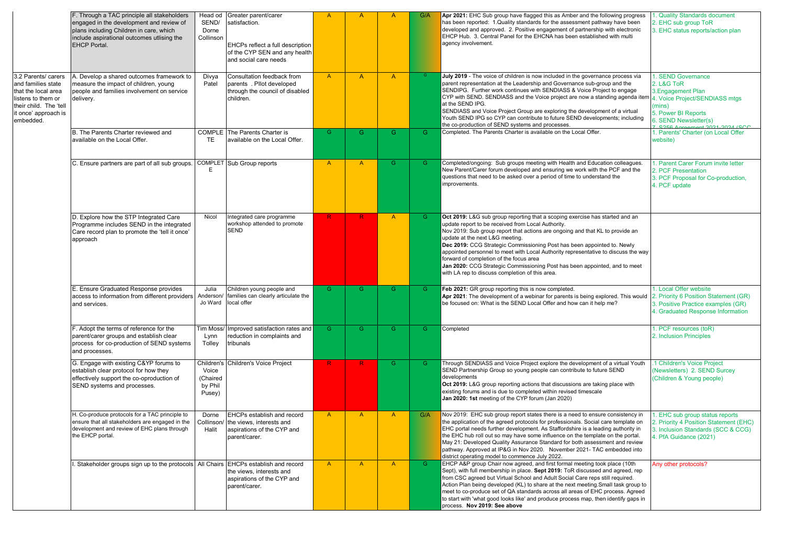|                                                                                                                                                       | F. Through a TAC principle all stakeholders<br>engaged in the development and review of<br>plans including Children in care, which<br>include aspirational outcomes utlising the<br><b>EHCP Portal.</b> | Head od<br>SEND/<br>Dorne<br>Collinson               | Greater parent/carer<br>satisfaction.<br>EHCPs reflect a full description<br>of the CYP SEN and any health<br>and social care needs | $\mathsf{A}$ | $\overline{A}$ | A            | G/A | Apr 2021: EHC Sub group have flagged this as Amber and the following progress<br>has been reported: 1.Quality standards for the assessment pathway have been<br>developed and approved. 2. Positive engagement of partnership with electronic<br>EHCP Hub. 3. Central Panel for the EHCNA has been established with multi<br>agency involvement.                                                                                                                                                                                                                                                    | 1. Quality Standards document<br>2. EHC sub group ToR<br>3. EHC status reports/action plan                                                                                                           |
|-------------------------------------------------------------------------------------------------------------------------------------------------------|---------------------------------------------------------------------------------------------------------------------------------------------------------------------------------------------------------|------------------------------------------------------|-------------------------------------------------------------------------------------------------------------------------------------|--------------|----------------|--------------|-----|-----------------------------------------------------------------------------------------------------------------------------------------------------------------------------------------------------------------------------------------------------------------------------------------------------------------------------------------------------------------------------------------------------------------------------------------------------------------------------------------------------------------------------------------------------------------------------------------------------|------------------------------------------------------------------------------------------------------------------------------------------------------------------------------------------------------|
| 3.2 Parents/ carers<br>and families state<br>that the local area<br>listens to them or<br>their child. The 'tell<br>it once' approach is<br>embedded. | A. Develop a shared outcomes framework to<br>measure the impact of children, young<br>people and families involvement on service<br>delivery.                                                           | Divya<br>Patel                                       | Consultation feedback from<br>parents. Pllot developed<br>through the council of disabled<br>children.                              | $\mathsf{A}$ | $\overline{A}$ | $\mathsf{A}$ |     | July 2019 - The voice of children is now included in the governance process via<br>parent representation at the Leadership and Governance sub-group and the<br>SENDIPG. Further work continues with SENDIASS & Voice Project to engage<br>CYP with SEND. SENDIASS and the Voice project are now a standing agenda item<br>at the SEND IPG.<br>SENDIASS and Voice Project Group are exploring the development of a virtual<br>Youth SEND IPG so CYP can contribute to future SEND developments; including<br>the co-production of SEND systems and processes.                                        | 1. SEND Governance<br>2. L&G ToR<br>3. Engagement Plan<br>4. Voice Project/SENDIASS mtgs<br>(mins)<br>5. Power BI Reports<br>6. SEND Newsletter(s)<br>$\frac{1}{2}$ C <sub>256</sub> A<br>$2024/000$ |
|                                                                                                                                                       | B. The Parents Charter reviewed and<br>available on the Local Offer.                                                                                                                                    | TE                                                   | <b>COMPLE</b> The Parents Charter is<br>available on the Local Offer.                                                               | G            | G              | G            | G.  | Completed. The Parents Charter is available on the Local Offer.                                                                                                                                                                                                                                                                                                                                                                                                                                                                                                                                     | 1. Parents' Charter (on Local Offer<br>website)                                                                                                                                                      |
|                                                                                                                                                       | C. Ensure partners are part of all sub groups.                                                                                                                                                          | E                                                    | <b>COMPLET</b> Sub Group reports                                                                                                    | $\mathsf{A}$ | $\mathsf{A}$   | $\mathsf{G}$ | G.  | Completed/ongoing: Sub groups meeting with Health and Education colleagues.<br>New Parent/Carer forum developed and ensuring we work with the PCF and the<br>questions that need to be asked over a period of time to understand the<br>improvements.                                                                                                                                                                                                                                                                                                                                               | 1. Parent Carer Forum invite letter<br>2. PCF Presentation<br>3. PCF Proposal for Co-production,<br>4. PCF update                                                                                    |
|                                                                                                                                                       | D. Explore how the STP Integrated Care<br>Programme includes SEND in the integrated<br>Care record plan to promote the 'tell it once'<br>approach                                                       | Nicol                                                | Integrated care programme<br>workshop attended to promote<br><b>SEND</b>                                                            | R            | R              | $\mathsf{A}$ | G.  | Oct 2019: L&G sub group reporting that a scoping exercise has started and an<br>update report to be received from Local Authority.<br>Nov 2019: Sub group report that actions are ongoing and that KL to provide an<br>update at the next L&G meeting.<br>Dec 2019: CCG Strategic Commissioning Post has been appointed to. Newly<br>appointed personnel to meet with Local Authority representative to discuss the way<br>forward of completion of the focus area<br>Jan 2020: CCG Strategic Commissioning Post has been appointed, and to meet<br>with LA rep to discuss completion of this area. |                                                                                                                                                                                                      |
|                                                                                                                                                       | E. Ensure Graduated Response provides<br>access to information from different providers<br>and services.                                                                                                | Julia<br>Anderson<br>Jo Ward                         | Children young people and<br>families can clearly articulate the<br>ocal offer                                                      | G            | G              | G.           | G.  | Feb 2021: GR group reporting this is now completed.<br>Apr 2021: The development of a webinar for parents is being explored. This would<br>be focused on: What is the SEND Local Offer and how can it help me?                                                                                                                                                                                                                                                                                                                                                                                      | . Local Offer website<br>2. Priority 6 Position Statement (GR)<br>3. Positive Practice examples (GR)<br>1. Graduated Response Information                                                            |
|                                                                                                                                                       | F. Adopt the terms of reference for the<br>parent/carer groups and establish clear<br>process for co-production of SEND systems<br>and processes.                                                       | <b>Tim Moss</b><br>Lynn<br>Tolley                    | Improved satisfaction rates and<br>reduction in complaints and<br>tribunals                                                         | G            | G.             | G.           | G.  | Completed                                                                                                                                                                                                                                                                                                                                                                                                                                                                                                                                                                                           | 1. PCF resources (toR)<br>2. Inclusion Principles                                                                                                                                                    |
|                                                                                                                                                       | G. Engage with existing C&YP forums to<br>establish clear protocol for how they<br>effectively support the co-oproduction of<br>SEND systems and processes.                                             | Children's<br>Voice<br>(Chaired<br>by Phil<br>Pusey) | Children's Voice Project                                                                                                            | -R.          | R              | $\mathsf{G}$ | G.  | Through SENDIASS and Voice Project explore the development of a virtual Youth<br>SEND Partnership Group so young people can contribute to future SEND<br>developments<br>Oct 2019: L&G group reporting actions that discussions are taking place with<br>existing forums and is due to completed within revised timescale<br>Jan 2020: 1st meeting of the CYP forum (Jan 2020)                                                                                                                                                                                                                      | 1 Children's Voice Project<br>(Newsletters) 2. SEND Surcey<br>(Children & Young people)                                                                                                              |
|                                                                                                                                                       | H. Co-produce protocols for a TAC principle to<br>ensure that all stakeholders are engaged in the<br>development and review of EHC plans through<br>the EHCP portal.                                    | Dorne<br>Halit                                       | EHCPs establish and record<br>Collinson/ the views, interests and<br>aspirations of the CYP and<br>parent/carer.                    | A            | $\mathsf{A}$   | $\mathsf{A}$ | G/A | Nov 2019: EHC sub group report states there is a need to ensure consistency in<br>the application of the agreed protocols for professionals. Social care template on<br>EHC portal needs further development. As Staffordshire is a leading authority in<br>the EHC hub roll out so may have some influence on the template on the portal.<br>May 21: Developed Quality Assurance Standard for both assessment and review<br>pathway. Approved at IP&G in Nov 2020. November 2021- TAC embedded into<br>district operating model to commence July 2022.                                             | 1. EHC sub group status reports<br>2. Priority 4 Position Statement (EHC)<br>3. Inclusion Standards (SCC & CCG)<br>4. PfA Guidance (2021)                                                            |
|                                                                                                                                                       | Stakeholder groups sign up to the protocols All Chairs EHCPs establish and record                                                                                                                       |                                                      | the views, interests and<br>aspirations of the CYP and<br>parent/carer.                                                             | $\mathsf{A}$ | $\overline{A}$ | $\mathsf{A}$ | G.  | EHCP A&P group Chair now agreed, and first formal meeting took place (10th<br>Sept), with full membership in place. Sept 2019: ToR discussed and agreed, rep<br>from CSC agreed but Virtual School and Adult Social Care reps still required.<br>Action Plan being developed (KL) to share at the next meeting.Small task group to<br>meet to co-produce set of QA standards across all areas of EHC process. Agreed<br>to start with 'what good looks like' and produce process map, then identify gaps in<br>process. Nov 2019: See above                                                         | Any other protocols?                                                                                                                                                                                 |